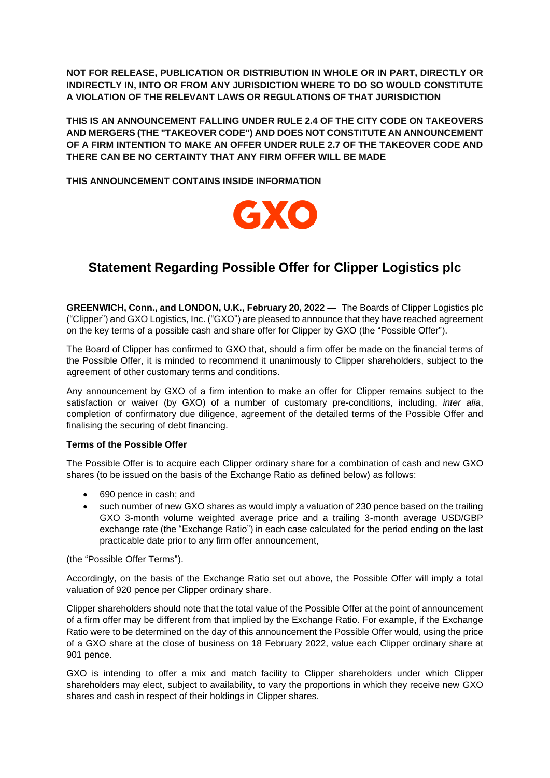**NOT FOR RELEASE, PUBLICATION OR DISTRIBUTION IN WHOLE OR IN PART, DIRECTLY OR INDIRECTLY IN, INTO OR FROM ANY JURISDICTION WHERE TO DO SO WOULD CONSTITUTE A VIOLATION OF THE RELEVANT LAWS OR REGULATIONS OF THAT JURISDICTION** 

**THIS IS AN ANNOUNCEMENT FALLING UNDER RULE 2.4 OF THE CITY CODE ON TAKEOVERS AND MERGERS (THE "TAKEOVER CODE") AND DOES NOT CONSTITUTE AN ANNOUNCEMENT OF A FIRM INTENTION TO MAKE AN OFFER UNDER RULE 2.7 OF THE TAKEOVER CODE AND THERE CAN BE NO CERTAINTY THAT ANY FIRM OFFER WILL BE MADE**

**THIS ANNOUNCEMENT CONTAINS INSIDE INFORMATION**



# **Statement Regarding Possible Offer for Clipper Logistics plc**

**GREENWICH, Conn., and LONDON, U.K., February 20, 2022 —** The Boards of Clipper Logistics plc ("Clipper") and GXO Logistics, Inc. ("GXO") are pleased to announce that they have reached agreement on the key terms of a possible cash and share offer for Clipper by GXO (the "Possible Offer").

The Board of Clipper has confirmed to GXO that, should a firm offer be made on the financial terms of the Possible Offer, it is minded to recommend it unanimously to Clipper shareholders, subject to the agreement of other customary terms and conditions.

Any announcement by GXO of a firm intention to make an offer for Clipper remains subject to the satisfaction or waiver (by GXO) of a number of customary pre-conditions, including, *inter alia*, completion of confirmatory due diligence, agreement of the detailed terms of the Possible Offer and finalising the securing of debt financing.

## **Terms of the Possible Offer**

The Possible Offer is to acquire each Clipper ordinary share for a combination of cash and new GXO shares (to be issued on the basis of the Exchange Ratio as defined below) as follows:

- 690 pence in cash; and
- such number of new GXO shares as would imply a valuation of 230 pence based on the trailing GXO 3-month volume weighted average price and a trailing 3-month average USD/GBP exchange rate (the "Exchange Ratio") in each case calculated for the period ending on the last practicable date prior to any firm offer announcement,

(the "Possible Offer Terms").

Accordingly, on the basis of the Exchange Ratio set out above, the Possible Offer will imply a total valuation of 920 pence per Clipper ordinary share.

Clipper shareholders should note that the total value of the Possible Offer at the point of announcement of a firm offer may be different from that implied by the Exchange Ratio. For example, if the Exchange Ratio were to be determined on the day of this announcement the Possible Offer would, using the price of a GXO share at the close of business on 18 February 2022, value each Clipper ordinary share at 901 pence.

GXO is intending to offer a mix and match facility to Clipper shareholders under which Clipper shareholders may elect, subject to availability, to vary the proportions in which they receive new GXO shares and cash in respect of their holdings in Clipper shares.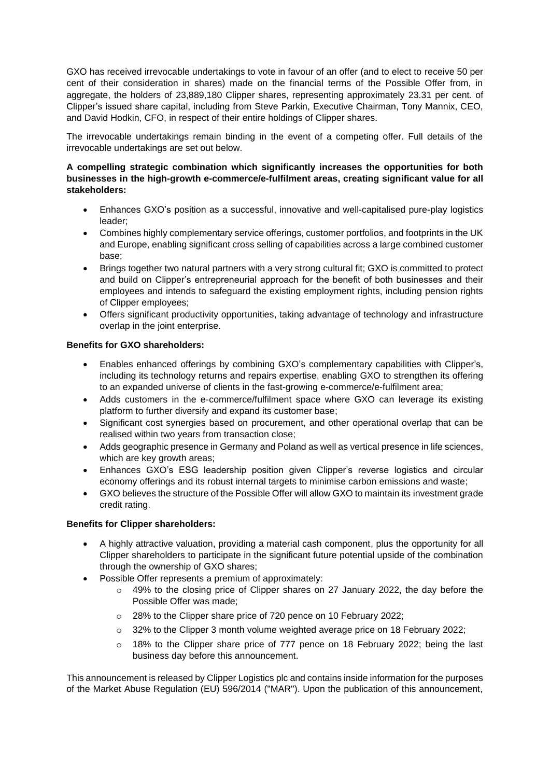GXO has received irrevocable undertakings to vote in favour of an offer (and to elect to receive 50 per cent of their consideration in shares) made on the financial terms of the Possible Offer from, in aggregate, the holders of 23,889,180 Clipper shares, representing approximately 23.31 per cent. of Clipper's issued share capital, including from Steve Parkin, Executive Chairman, Tony Mannix, CEO, and David Hodkin, CFO, in respect of their entire holdings of Clipper shares.

The irrevocable undertakings remain binding in the event of a competing offer. Full details of the irrevocable undertakings are set out below.

## **A compelling strategic combination which significantly increases the opportunities for both businesses in the high-growth e-commerce/e-fulfilment areas, creating significant value for all stakeholders:**

- Enhances GXO's position as a successful, innovative and well-capitalised pure-play logistics leader;
- Combines highly complementary service offerings, customer portfolios, and footprints in the UK and Europe, enabling significant cross selling of capabilities across a large combined customer base;
- Brings together two natural partners with a very strong cultural fit; GXO is committed to protect and build on Clipper's entrepreneurial approach for the benefit of both businesses and their employees and intends to safeguard the existing employment rights, including pension rights of Clipper employees;
- Offers significant productivity opportunities, taking advantage of technology and infrastructure overlap in the joint enterprise.

## **Benefits for GXO shareholders:**

- Enables enhanced offerings by combining GXO's complementary capabilities with Clipper's, including its technology returns and repairs expertise, enabling GXO to strengthen its offering to an expanded universe of clients in the fast-growing e-commerce/e-fulfilment area;
- Adds customers in the e-commerce/fulfilment space where GXO can leverage its existing platform to further diversify and expand its customer base;
- Significant cost synergies based on procurement, and other operational overlap that can be realised within two years from transaction close;
- Adds geographic presence in Germany and Poland as well as vertical presence in life sciences, which are key growth areas;
- Enhances GXO's ESG leadership position given Clipper's reverse logistics and circular economy offerings and its robust internal targets to minimise carbon emissions and waste;
- GXO believes the structure of the Possible Offer will allow GXO to maintain its investment grade credit rating.

## **Benefits for Clipper shareholders:**

- A highly attractive valuation, providing a material cash component, plus the opportunity for all Clipper shareholders to participate in the significant future potential upside of the combination through the ownership of GXO shares;
- Possible Offer represents a premium of approximately:
	- $\circ$  49% to the closing price of Clipper shares on 27 January 2022, the day before the Possible Offer was made;
	- o 28% to the Clipper share price of 720 pence on 10 February 2022;
	- o 32% to the Clipper 3 month volume weighted average price on 18 February 2022;
	- $\circ$  18% to the Clipper share price of 777 pence on 18 February 2022; being the last business day before this announcement.

This announcement is released by Clipper Logistics plc and contains inside information for the purposes of the Market Abuse Regulation (EU) 596/2014 ("MAR"). Upon the publication of this announcement,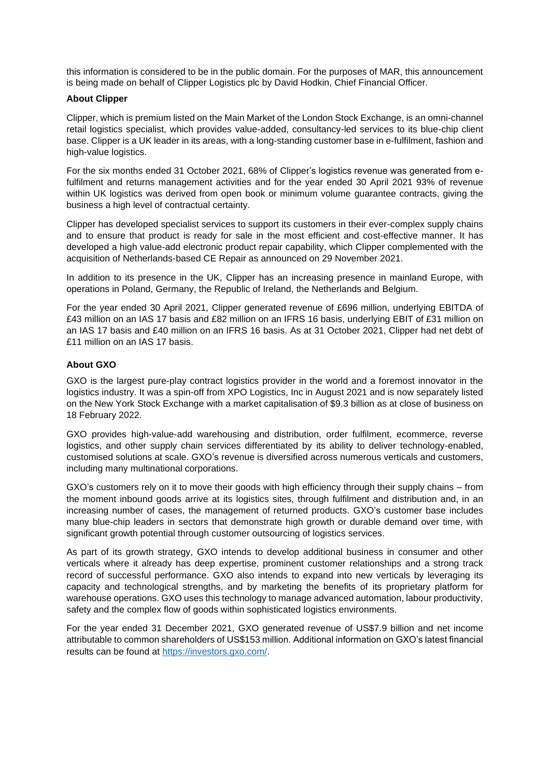this information is considered to be in the public domain. For the purposes of MAR, this announcement is being made on behalf of Clipper Logistics plc by David Hodkin, Chief Financial Officer.

### **About Clipper**

Clipper, which is premium listed on the Main Market of the London Stock Exchange, is an omni-channel retail logistics specialist, which provides value-added, consultancy-led services to its blue-chip client base. Clipper is a UK leader in its areas, with a long-standing customer base in e-fulfilment, fashion and high-value logistics.

For the six months ended 31 October 2021, 68% of Clipper's logistics revenue was generated from efulfilment and returns management activities and for the year ended 30 April 2021 93% of revenue within UK logistics was derived from open book or minimum volume guarantee contracts, giving the business a high level of contractual certainty.

Clipper has developed specialist services to support its customers in their ever-complex supply chains and to ensure that product is ready for sale in the most efficient and cost-effective manner. It has developed a high value-add electronic product repair capability, which Clipper complemented with the acquisition of Netherlands-based CE Repair as announced on 29 November 2021.

In addition to its presence in the UK, Clipper has an increasing presence in mainland Europe, with operations in Poland, Germany, the Republic of Ireland, the Netherlands and Belgium.

For the year ended 30 April 2021, Clipper generated revenue of £696 million, underlying EBITDA of £43 million on an IAS 17 basis and £82 million on an IFRS 16 basis, underlying EBIT of £31 million on an IAS 17 basis and £40 million on an IFRS 16 basis. As at 31 October 2021, Clipper had net debt of £11 million on an IAS 17 basis.

## **About GXO**

GXO is the largest pure-play contract logistics provider in the world and a foremost innovator in the logistics industry. It was a spin-off from XPO Logistics, Inc in August 2021 and is now separately listed on the New York Stock Exchange with a market capitalisation of \$9.3 billion as at close of business on 18 February 2022.

GXO provides high-value-add warehousing and distribution, order fulfilment, ecommerce, reverse logistics, and other supply chain services differentiated by its ability to deliver technology-enabled, customised solutions at scale. GXO's revenue is diversified across numerous verticals and customers, including many multinational corporations.

GXO's customers rely on it to move their goods with high efficiency through their supply chains – from the moment inbound goods arrive at its logistics sites, through fulfilment and distribution and, in an increasing number of cases, the management of returned products. GXO's customer base includes many blue-chip leaders in sectors that demonstrate high growth or durable demand over time, with significant growth potential through customer outsourcing of logistics services.

As part of its growth strategy, GXO intends to develop additional business in consumer and other verticals where it already has deep expertise, prominent customer relationships and a strong track record of successful performance. GXO also intends to expand into new verticals by leveraging its capacity and technological strengths, and by marketing the benefits of its proprietary platform for warehouse operations. GXO uses this technology to manage advanced automation, labour productivity, safety and the complex flow of goods within sophisticated logistics environments.

For the year ended 31 December 2021, GXO generated revenue of US\$7.9 billion and net income attributable to common shareholders of US\$153 million. Additional information on GXO's latest financial results can be found at [https://investors.gxo.com/.](https://investors.gxo.com/)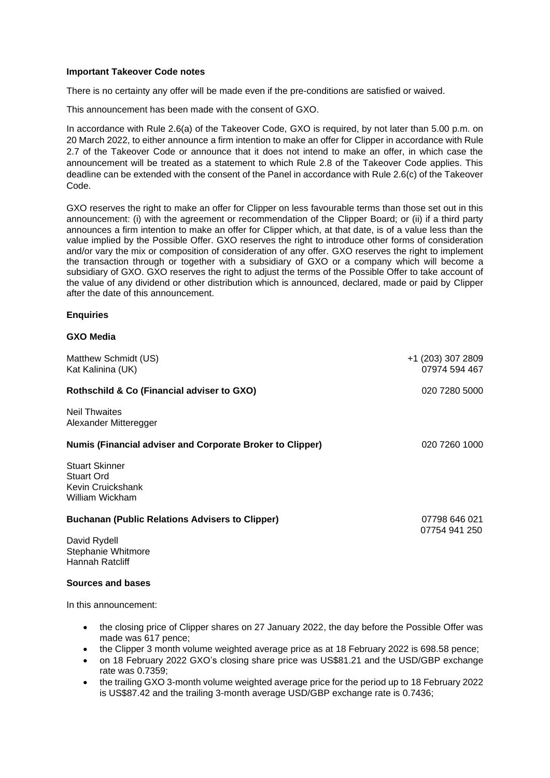#### **Important Takeover Code notes**

There is no certainty any offer will be made even if the pre-conditions are satisfied or waived.

This announcement has been made with the consent of GXO.

In accordance with Rule 2.6(a) of the Takeover Code, GXO is required, by not later than 5.00 p.m. on 20 March 2022, to either announce a firm intention to make an offer for Clipper in accordance with Rule 2.7 of the Takeover Code or announce that it does not intend to make an offer, in which case the announcement will be treated as a statement to which Rule 2.8 of the Takeover Code applies. This deadline can be extended with the consent of the Panel in accordance with Rule 2.6(c) of the Takeover Code.

GXO reserves the right to make an offer for Clipper on less favourable terms than those set out in this announcement: (i) with the agreement or recommendation of the Clipper Board; or (ii) if a third party announces a firm intention to make an offer for Clipper which, at that date, is of a value less than the value implied by the Possible Offer. GXO reserves the right to introduce other forms of consideration and/or vary the mix or composition of consideration of any offer. GXO reserves the right to implement the transaction through or together with a subsidiary of GXO or a company which will become a subsidiary of GXO. GXO reserves the right to adjust the terms of the Possible Offer to take account of the value of any dividend or other distribution which is announced, declared, made or paid by Clipper after the date of this announcement.

#### **Enquiries**

#### **GXO Media**

| Matthew Schmidt (US)<br>Kat Kalinina (UK)                                          | +1 (203) 307 2809<br>07974 594 467 |
|------------------------------------------------------------------------------------|------------------------------------|
| Rothschild & Co (Financial adviser to GXO)                                         | 020 7280 5000                      |
| <b>Neil Thwaites</b><br>Alexander Mitteregger                                      |                                    |
| <b>Numis (Financial adviser and Corporate Broker to Clipper)</b>                   | 020 7260 1000                      |
| <b>Stuart Skinner</b><br><b>Stuart Ord</b><br>Kevin Cruickshank<br>William Wickham |                                    |
| <b>Buchanan (Public Relations Advisers to Clipper)</b>                             | 07798 646 021<br>07754 941 250     |
| David Rydell<br>Stephanie Whitmore<br>Hannah Ratcliff                              |                                    |
| Sources and bases                                                                  |                                    |
| In this announcement:                                                              |                                    |

- the closing price of Clipper shares on 27 January 2022, the day before the Possible Offer was made was 617 pence;
- the Clipper 3 month volume weighted average price as at 18 February 2022 is 698.58 pence;
- on 18 February 2022 GXO's closing share price was US\$81.21 and the USD/GBP exchange rate was 0.7359;
- the trailing GXO 3-month volume weighted average price for the period up to 18 February 2022 is US\$87.42 and the trailing 3-month average USD/GBP exchange rate is 0.7436;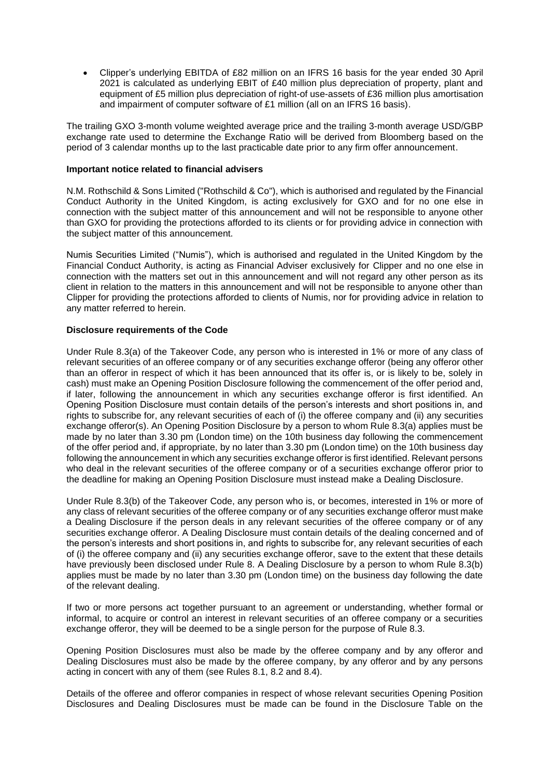• Clipper's underlying EBITDA of £82 million on an IFRS 16 basis for the year ended 30 April 2021 is calculated as underlying EBIT of £40 million plus depreciation of property, plant and equipment of £5 million plus depreciation of right-of use-assets of £36 million plus amortisation and impairment of computer software of £1 million (all on an IFRS 16 basis).

The trailing GXO 3-month volume weighted average price and the trailing 3-month average USD/GBP exchange rate used to determine the Exchange Ratio will be derived from Bloomberg based on the period of 3 calendar months up to the last practicable date prior to any firm offer announcement.

#### **Important notice related to financial advisers**

N.M. Rothschild & Sons Limited ("Rothschild & Co"), which is authorised and regulated by the Financial Conduct Authority in the United Kingdom, is acting exclusively for GXO and for no one else in connection with the subject matter of this announcement and will not be responsible to anyone other than GXO for providing the protections afforded to its clients or for providing advice in connection with the subject matter of this announcement.

Numis Securities Limited ("Numis"), which is authorised and regulated in the United Kingdom by the Financial Conduct Authority, is acting as Financial Adviser exclusively for Clipper and no one else in connection with the matters set out in this announcement and will not regard any other person as its client in relation to the matters in this announcement and will not be responsible to anyone other than Clipper for providing the protections afforded to clients of Numis, nor for providing advice in relation to any matter referred to herein.

#### **Disclosure requirements of the Code**

Under Rule 8.3(a) of the Takeover Code, any person who is interested in 1% or more of any class of relevant securities of an offeree company or of any securities exchange offeror (being any offeror other than an offeror in respect of which it has been announced that its offer is, or is likely to be, solely in cash) must make an Opening Position Disclosure following the commencement of the offer period and, if later, following the announcement in which any securities exchange offeror is first identified. An Opening Position Disclosure must contain details of the person's interests and short positions in, and rights to subscribe for, any relevant securities of each of (i) the offeree company and (ii) any securities exchange offeror(s). An Opening Position Disclosure by a person to whom Rule 8.3(a) applies must be made by no later than 3.30 pm (London time) on the 10th business day following the commencement of the offer period and, if appropriate, by no later than 3.30 pm (London time) on the 10th business day following the announcement in which any securities exchange offeror is first identified. Relevant persons who deal in the relevant securities of the offeree company or of a securities exchange offeror prior to the deadline for making an Opening Position Disclosure must instead make a Dealing Disclosure.

Under Rule 8.3(b) of the Takeover Code, any person who is, or becomes, interested in 1% or more of any class of relevant securities of the offeree company or of any securities exchange offeror must make a Dealing Disclosure if the person deals in any relevant securities of the offeree company or of any securities exchange offeror. A Dealing Disclosure must contain details of the dealing concerned and of the person's interests and short positions in, and rights to subscribe for, any relevant securities of each of (i) the offeree company and (ii) any securities exchange offeror, save to the extent that these details have previously been disclosed under Rule 8. A Dealing Disclosure by a person to whom Rule 8.3(b) applies must be made by no later than 3.30 pm (London time) on the business day following the date of the relevant dealing.

If two or more persons act together pursuant to an agreement or understanding, whether formal or informal, to acquire or control an interest in relevant securities of an offeree company or a securities exchange offeror, they will be deemed to be a single person for the purpose of Rule 8.3.

Opening Position Disclosures must also be made by the offeree company and by any offeror and Dealing Disclosures must also be made by the offeree company, by any offeror and by any persons acting in concert with any of them (see Rules 8.1, 8.2 and 8.4).

Details of the offeree and offeror companies in respect of whose relevant securities Opening Position Disclosures and Dealing Disclosures must be made can be found in the Disclosure Table on the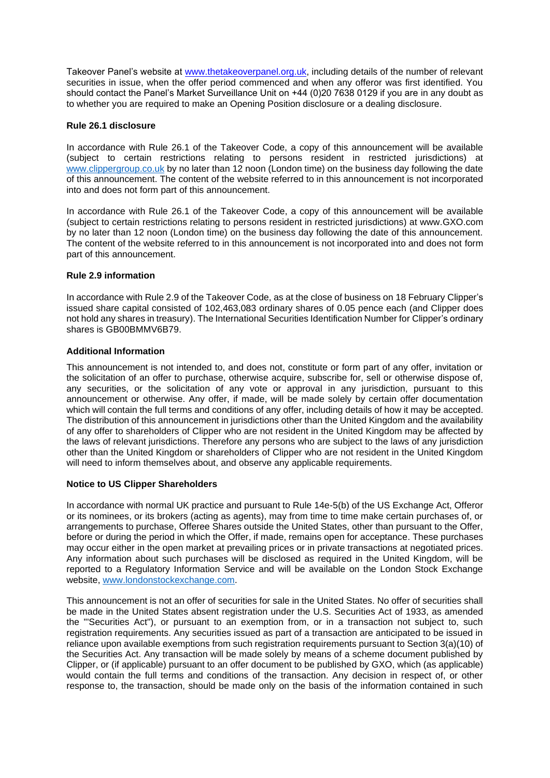Takeover Panel's website at [www.thetakeoverpanel.org.uk,](http://www.thetakeoverpanel.org.uk/) including details of the number of relevant securities in issue, when the offer period commenced and when any offeror was first identified. You should contact the Panel's Market Surveillance Unit on +44 (0)20 7638 0129 if you are in any doubt as to whether you are required to make an Opening Position disclosure or a dealing disclosure.

#### **Rule 26.1 disclosure**

In accordance with Rule 26.1 of the Takeover Code, a copy of this announcement will be available (subject to certain restrictions relating to persons resident in restricted jurisdictions) at [www.clippergroup.co.uk](http://www.clippergroup.co.uk/) by no later than 12 noon (London time) on the business day following the date of this announcement. The content of the website referred to in this announcement is not incorporated into and does not form part of this announcement.

In accordance with Rule 26.1 of the Takeover Code, a copy of this announcement will be available (subject to certain restrictions relating to persons resident in restricted jurisdictions) at www.GXO.com by no later than 12 noon (London time) on the business day following the date of this announcement. The content of the website referred to in this announcement is not incorporated into and does not form part of this announcement.

#### **Rule 2.9 information**

In accordance with Rule 2.9 of the Takeover Code, as at the close of business on 18 February Clipper's issued share capital consisted of 102,463,083 ordinary shares of 0.05 pence each (and Clipper does not hold any shares in treasury). The International Securities Identification Number for Clipper's ordinary shares is GB00BMMV6B79.

#### **Additional Information**

This announcement is not intended to, and does not, constitute or form part of any offer, invitation or the solicitation of an offer to purchase, otherwise acquire, subscribe for, sell or otherwise dispose of, any securities, or the solicitation of any vote or approval in any jurisdiction, pursuant to this announcement or otherwise. Any offer, if made, will be made solely by certain offer documentation which will contain the full terms and conditions of any offer, including details of how it may be accepted. The distribution of this announcement in jurisdictions other than the United Kingdom and the availability of any offer to shareholders of Clipper who are not resident in the United Kingdom may be affected by the laws of relevant jurisdictions. Therefore any persons who are subject to the laws of any jurisdiction other than the United Kingdom or shareholders of Clipper who are not resident in the United Kingdom will need to inform themselves about, and observe any applicable requirements.

## **Notice to US Clipper Shareholders**

In accordance with normal UK practice and pursuant to Rule 14e-5(b) of the US Exchange Act, Offeror or its nominees, or its brokers (acting as agents), may from time to time make certain purchases of, or arrangements to purchase, Offeree Shares outside the United States, other than pursuant to the Offer, before or during the period in which the Offer, if made, remains open for acceptance. These purchases may occur either in the open market at prevailing prices or in private transactions at negotiated prices. Any information about such purchases will be disclosed as required in the United Kingdom, will be reported to a Regulatory Information Service and will be available on the London Stock Exchange website, [www.londonstockexchange.com.](http://www.londonstockexchange.com/)

This announcement is not an offer of securities for sale in the United States. No offer of securities shall be made in the United States absent registration under the U.S. Securities Act of 1933, as amended the "'Securities Act"), or pursuant to an exemption from, or in a transaction not subject to, such registration requirements. Any securities issued as part of a transaction are anticipated to be issued in reliance upon available exemptions from such registration requirements pursuant to Section 3(a)(10) of the Securities Act. Any transaction will be made solely by means of a scheme document published by Clipper, or (if applicable) pursuant to an offer document to be published by GXO, which (as applicable) would contain the full terms and conditions of the transaction. Any decision in respect of, or other response to, the transaction, should be made only on the basis of the information contained in such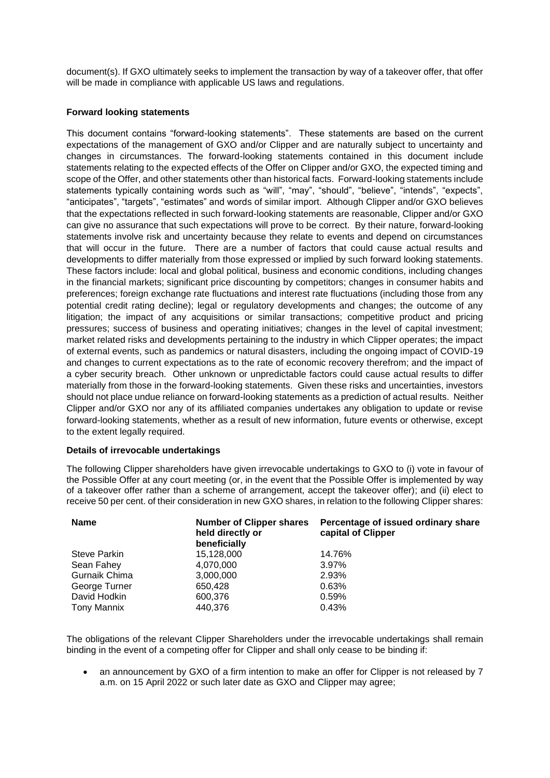document(s). If GXO ultimately seeks to implement the transaction by way of a takeover offer, that offer will be made in compliance with applicable US laws and regulations.

## **Forward looking statements**

This document contains "forward-looking statements". These statements are based on the current expectations of the management of GXO and/or Clipper and are naturally subject to uncertainty and changes in circumstances. The forward-looking statements contained in this document include statements relating to the expected effects of the Offer on Clipper and/or GXO, the expected timing and scope of the Offer, and other statements other than historical facts. Forward-looking statements include statements typically containing words such as "will", "may", "should", "believe", "intends", "expects", "anticipates", "targets", "estimates" and words of similar import. Although Clipper and/or GXO believes that the expectations reflected in such forward-looking statements are reasonable, Clipper and/or GXO can give no assurance that such expectations will prove to be correct. By their nature, forward-looking statements involve risk and uncertainty because they relate to events and depend on circumstances that will occur in the future. There are a number of factors that could cause actual results and developments to differ materially from those expressed or implied by such forward looking statements. These factors include: local and global political, business and economic conditions, including changes in the financial markets; significant price discounting by competitors; changes in consumer habits and preferences; foreign exchange rate fluctuations and interest rate fluctuations (including those from any potential credit rating decline); legal or regulatory developments and changes; the outcome of any litigation; the impact of any acquisitions or similar transactions; competitive product and pricing pressures; success of business and operating initiatives; changes in the level of capital investment; market related risks and developments pertaining to the industry in which Clipper operates; the impact of external events, such as pandemics or natural disasters, including the ongoing impact of COVID-19 and changes to current expectations as to the rate of economic recovery therefrom; and the impact of a cyber security breach. Other unknown or unpredictable factors could cause actual results to differ materially from those in the forward-looking statements. Given these risks and uncertainties, investors should not place undue reliance on forward-looking statements as a prediction of actual results. Neither Clipper and/or GXO nor any of its affiliated companies undertakes any obligation to update or revise forward-looking statements, whether as a result of new information, future events or otherwise, except to the extent legally required.

#### **Details of irrevocable undertakings**

The following Clipper shareholders have given irrevocable undertakings to GXO to (i) vote in favour of the Possible Offer at any court meeting (or, in the event that the Possible Offer is implemented by way of a takeover offer rather than a scheme of arrangement, accept the takeover offer); and (ii) elect to receive 50 per cent. of their consideration in new GXO shares, in relation to the following Clipper shares:

| <b>Name</b>         | <b>Number of Clipper shares</b><br>held directly or<br>beneficially | Percentage of issued ordinary share<br>capital of Clipper |
|---------------------|---------------------------------------------------------------------|-----------------------------------------------------------|
| <b>Steve Parkin</b> | 15,128,000                                                          | 14.76%                                                    |
| Sean Fahey          | 4,070,000                                                           | 3.97%                                                     |
| Gurnaik Chima       | 3,000,000                                                           | 2.93%                                                     |
| George Turner       | 650,428                                                             | 0.63%                                                     |
| David Hodkin        | 600,376                                                             | 0.59%                                                     |
| <b>Tony Mannix</b>  | 440,376                                                             | 0.43%                                                     |

The obligations of the relevant Clipper Shareholders under the irrevocable undertakings shall remain binding in the event of a competing offer for Clipper and shall only cease to be binding if:

• an announcement by GXO of a firm intention to make an offer for Clipper is not released by 7 a.m. on 15 April 2022 or such later date as GXO and Clipper may agree;